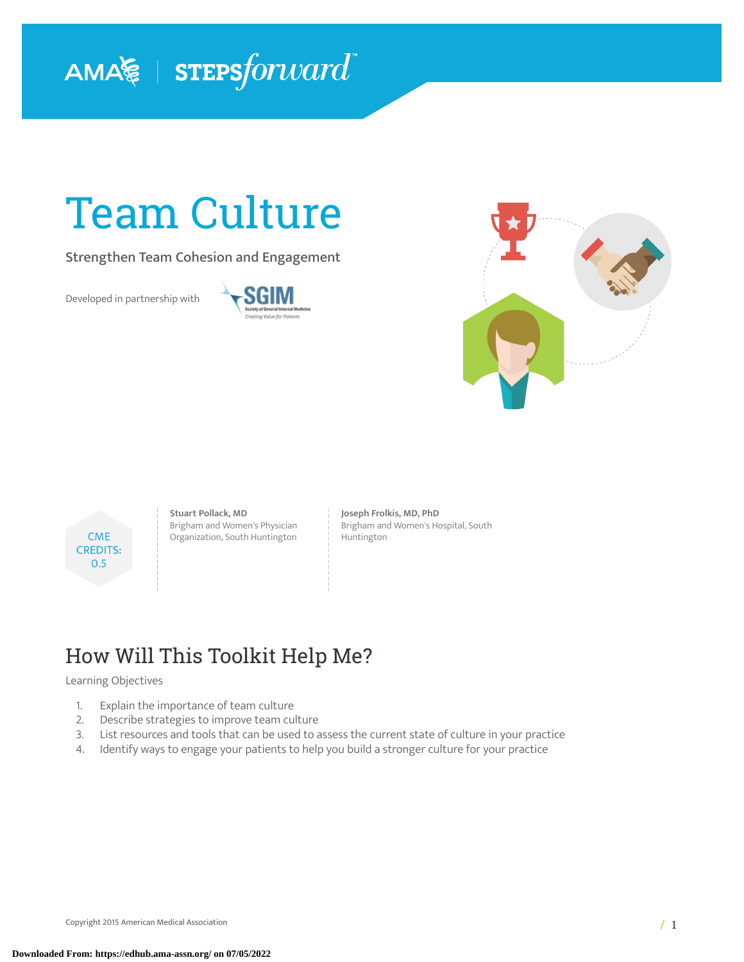

# Team Culture

Strengthen Team Cohesion and Engagement

Developed in partnership with







**Stuart Pollack, MD** Brigham and Women's Physician Organization, South Huntington **Joseph Frolkis, MD, PhD** Brigham and Women's Hospital, South Huntington

## How Will This Toolkit Help Me?

#### Learning Objectives

- 1. Explain the importance of team culture
- 2. Describe strategies to improve team culture
- 3. List resources and tools that can be used to assess the current state of culture in your practice
- 4. Identify ways to engage your patients to help you build a stronger culture for your practice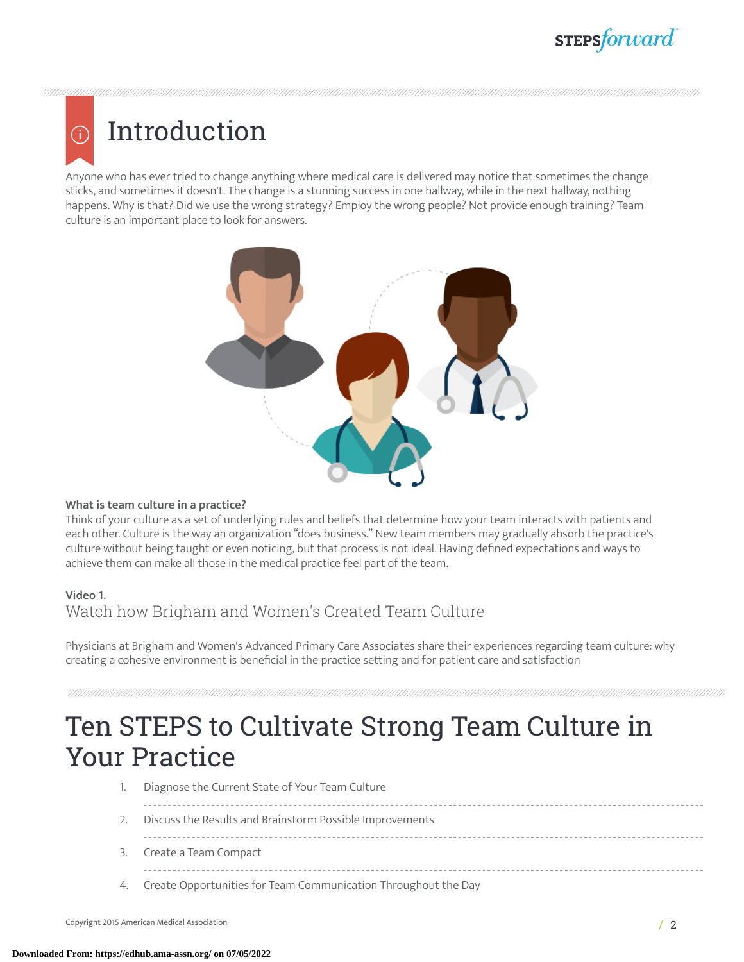## **STEPSforward**

# Introduction

G)

Anyone who has ever tried to change anything where medical care is delivered may notice that sometimes the change sticks, and sometimes it doesn't. The change is a stunning success in one hallway, while in the next hallway, nothing happens. Why is that? Did we use the wrong strategy? Employ the wrong people? Not provide enough training? Team culture is an important place to look for answers.



### **What is team culture in a practice?**

Think of your culture as a set of underlying rules and beliefs that determine how your team interacts with patients and each other. Culture is the way an organization "does business." New team members may gradually absorb the practice's culture without being taught or even noticing, but that process is not ideal. Having defined expectations and ways to achieve them can make all those in the medical practice feel part of the team.

### **Video 1.**

Watch how Brigham and Women's Created Team Culture

Physicians at Brigham and Women's Advanced Primary Care Associates share their experiences regarding team culture: why creating a cohesive environment is beneficial in the practice setting and for patient care and satisfaction

## Ten STEPS to Cultivate Strong Team Culture in Your Practice

- 1. Diagnose the Current State of Your Team Culture
- 2. Discuss the Results and Brainstorm Possible Improvements
- 
- 3. Create a Team Compact

-------------------

4. Create Opportunities for Team Communication Throughout the Day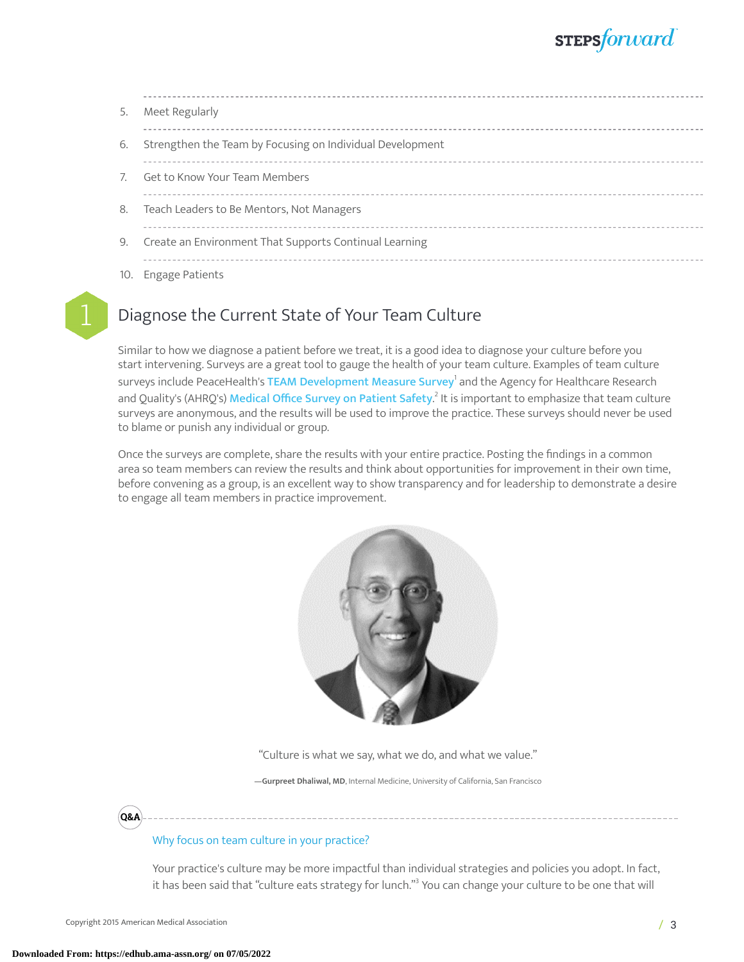| 5.  | Meet Regularly                                            |
|-----|-----------------------------------------------------------|
| 6.  | Strengthen the Team by Focusing on Individual Development |
|     | Get to Know Your Team Members                             |
| 8.  | Teach Leaders to Be Mentors, Not Managers                 |
| 9.  | Create an Environment That Supports Continual Learning    |
| 10. | <b>Engage Patients</b>                                    |

### Diagnose the Current State of Your Team Culture

Similar to how we diagnose a patient before we treat, it is a good idea to diagnose your culture before you start intervening. Surveys are a great tool to gauge the health of your team culture. Examples of team culture surveys include PeaceHealth's **TEAM [Development](https://www.peacehealth.org/about-peacehealth/medical-professionals/eugene-springfield-cottage-grove/team-measure/Pages/measure) Measure Survey<sup>[1](#page-13-0)</sup> a**nd the Agency for Healthcare Research and Quality's (AHRQ's<mark>) [Medical](https://www.ahrq.gov/sops/surveys/medical-office/index.html) Office Survey on Patient Safety.<sup>[2](#page-13-1)</sup> It</mark> is important to emphasize that team culture surveys are anonymous, and the results will be used to improve the practice. These surveys should never be used to blame or punish any individual or group.

Once the surveys are complete, share the results with your entire practice. Posting the findings in a common area so team members can review the results and think about opportunities for improvement in their own time, before convening as a group, is an excellent way to show transparency and for leadership to demonstrate a desire to engage all team members in practice improvement.



"Culture is what we say, what we do, and what we value."

**—Gurpreet Dhaliwal, MD**, Internal Medicine, University of California, San Francisco

**Q&A**

### Why focus on team culture in your practice?

Your practice's culture may be more impactful than individual strategies and policies you adopt. In fact, it has been said that "culture eats strategy for lunch."<sup>[3](#page-13-2)</sup> You can change your culture to be one that will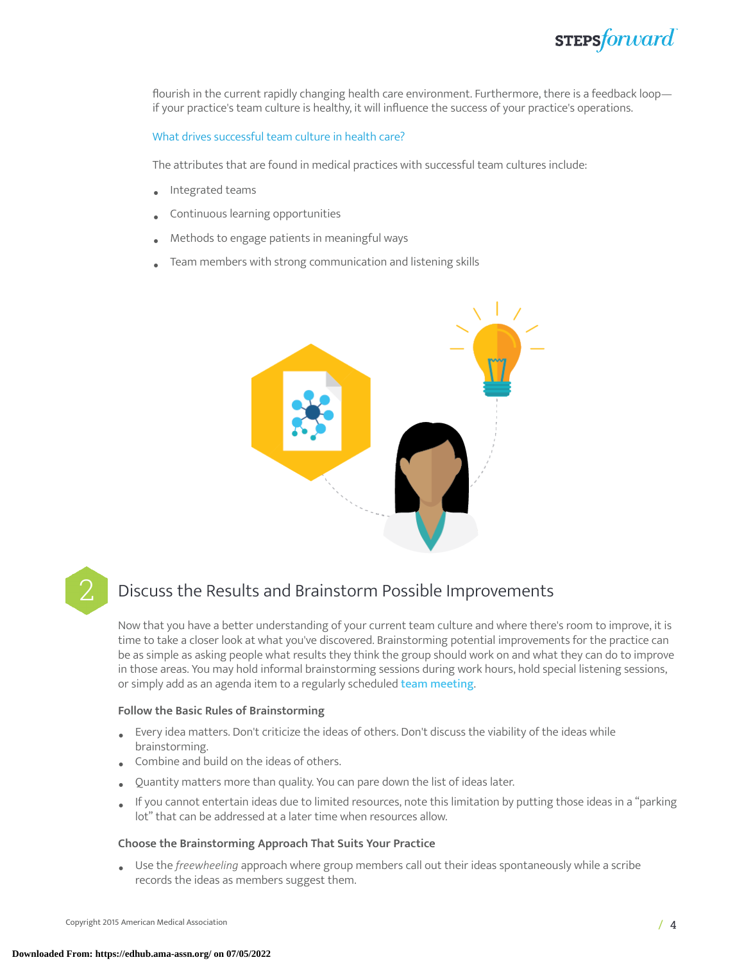

flourish in the current rapidly changing health care environment. Furthermore, there is a feedback loop if your practice's team culture is healthy, it will influence the success of your practice's operations.

#### What drives successful team culture in health care?

The attributes that are found in medical practices with successful team cultures include:

- Integrated teams
- Continuous learning opportunities
- Methods to engage patients in meaningful ways
- Team members with strong communication and listening skills



### Discuss the Results and Brainstorm Possible Improvements

Now that you have a better understanding of your current team culture and where there's room to improve, it is time to take a closer look at what you've discovered. Brainstorming potential improvements for the practice can be as simple as asking people what results they think the group should work on and what they can do to improve in those areas. You may hold informal brainstorming sessions during work hours, hold special listening sessions, or simply add as an agenda item to a regularly scheduled team [meeting](https://edhub.ama-assn.org/steps-forward/module/2702508).

#### **Follow the Basic Rules of Brainstorming**

- Every idea matters. Don't criticize the ideas of others. Don't discuss the viability of the ideas while brainstorming.
- Combine and build on the ideas of others.
- Quantity matters more than quality. You can pare down the list of ideas later.
- If you cannot entertain ideas due to limited resources, note this limitation by putting those ideas in a "parking lot" that can be addressed at a later time when resources allow.

#### **Choose the Brainstorming Approach That Suits Your Practice**

• Use the *freewheeling* approach where group members call out their ideas spontaneously while <sup>a</sup> scribe records the ideas as members suggest them.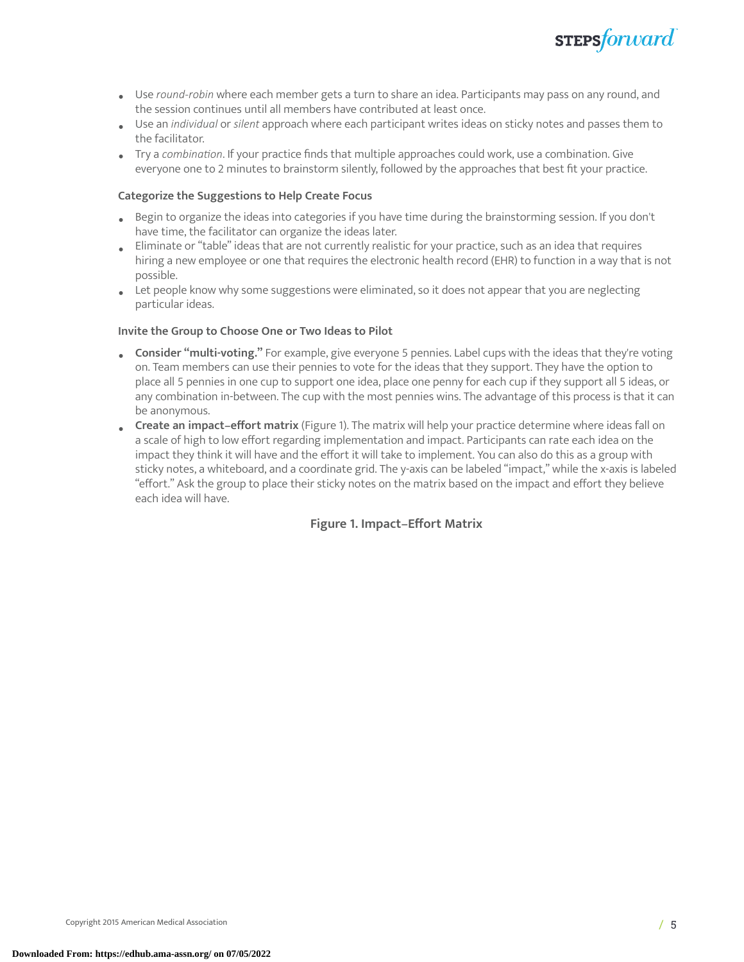

- Use *round-robin* where each member gets <sup>a</sup> turn to share an idea. Participants may pass on any round, and the session continues until all members have contributed at least once.
- Use an *individual* or *silent* approach where each participant writes ideas on sticky notes and passes them to the facilitator.
- Try a *combination*. If your practice finds that multiple approaches could work, use a combination. Give everyone one to 2 minutes to brainstorm silently, followed by the approaches that best fit your practice.

#### **Categorize the Suggestions to Help Create Focus**

- Begin to organize the ideas into categories if you have time during the brainstorming session. If you don't have time, the facilitator can organize the ideas later.
- Eliminate or "table" ideas that are not currently realistic for your practice, such as an idea that requires hiring a new employee or one that requires the electronic health record (EHR) to function in a way that is not possible.
- Let people know why some suggestions were eliminated, so it does not appear that you are neglecting particular ideas.

#### **Invite the Group to Choose One or Two Ideas to Pilot**

- **Consider "multi-voting."** For example, give everyone 5 pennies. Label cups with the ideas that they're voting on. Team members can use their pennies to vote for the ideas that they support. They have the option to place all 5 pennies in one cup to support one idea, place one penny for each cup if they support all 5 ideas, or any combination in-between. The cup with the most pennies wins. The advantage of this process is that it can be anonymous.
- <span id="page-4-0"></span>• **Create an impact–effort matrix** [\(Figure](#page-4-0) 1). The matrix will help your practice determine where ideas fall on a scale of high to low effort regarding implementation and impact. Participants can rate each idea on the impact they think it will have and the effort it will take to implement. You can also do this as a group with sticky notes, a whiteboard, and a coordinate grid. The y-axis can be labeled "impact," while the x-axis is labeled "effort." Ask the group to place their sticky notes on the matrix based on the impact and effort they believe each idea will have.

#### **Figure 1. Impact–Effort Matrix**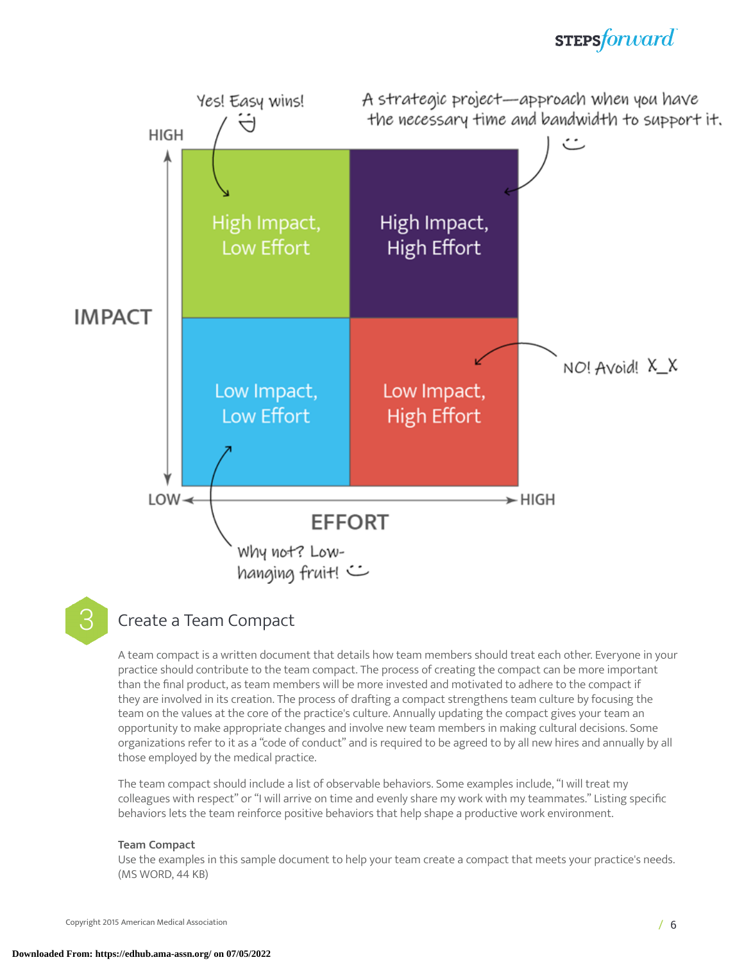### **STEPS**forward



**3** Create a Team Compact

A team compact is a written document that details how team members should treat each other. Everyone in your practice should contribute to the team compact. The process of creating the compact can be more important than the final product, as team members will be more invested and motivated to adhere to the compact if they are involved in its creation. The process of drafting a compact strengthens team culture by focusing the team on the values at the core of the practice's culture. Annually updating the compact gives your team an opportunity to make appropriate changes and involve new team members in making cultural decisions. Some organizations refer to it as a "code of conduct" and is required to be agreed to by all new hires and annually by all those employed by the medical practice.

The team compact should include a list of observable behaviors. Some examples include, "I will treat my colleagues with respect" or "I will arrive on time and evenly share my work with my teammates." Listing specific behaviors lets the team reinforce positive behaviors that help shape a productive work environment.

#### **Team Compact**

Use the examples in this sample document to help your team create a compact that meets your practice's needs. (MS WORD, 44 KB)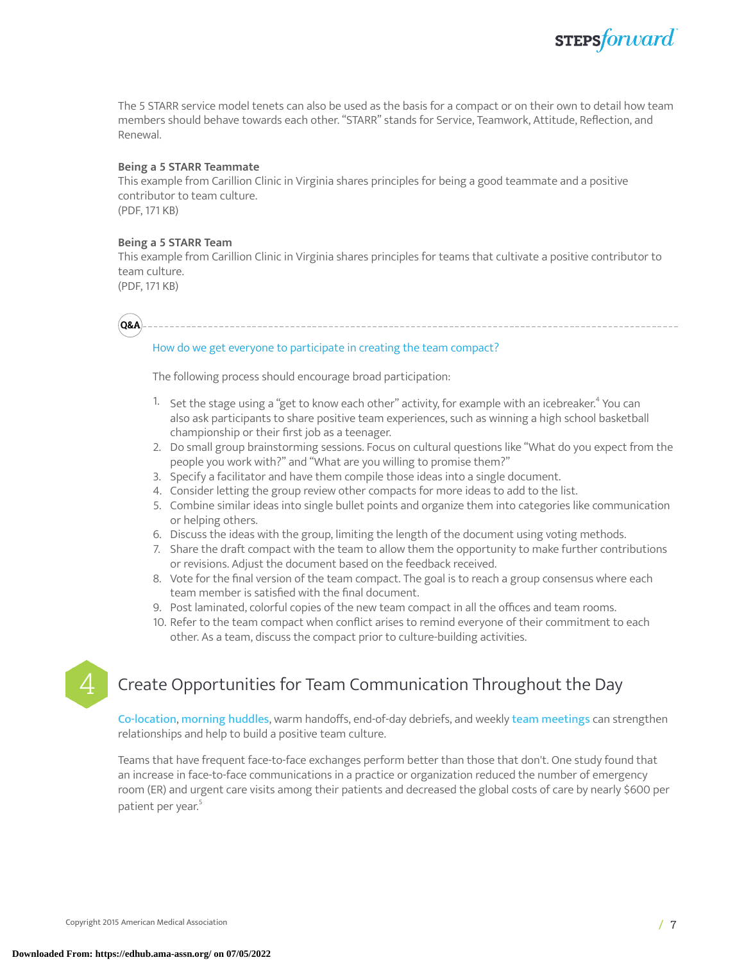The 5 STARR service model tenets can also be used as the basis for a compact or on their own to detail how team members should behave towards each other. "STARR" stands for Service, Teamwork, Attitude, Reflection, and Renewal.

#### **Being a 5 STARR Teammate**

This example from Carillion Clinic in Virginia shares principles for being a good teammate and a positive contributor to team culture. (PDF, 171 KB)

#### **Being a 5 STARR Team**

This example from Carillion Clinic in Virginia shares principles for teams that cultivate a positive contributor to team culture.

(PDF, 171 KB)

**Q&A**

#### How do we get everyone to participate in creating the team compact?

The following process should encourage broad participation:

- $^{1.} \;$  Set the stage using a "get to know each other" activity, for example with an icebreaker. $^{4}$  $^{4}$  $^{4}$  You can also ask participants to share positive team experiences, such as winning a high school basketball championship or their first job as a teenager.
- 2. Do small group brainstorming sessions. Focus on cultural questions like "What do you expect from the people you work with?" and "What are you willing to promise them?"
- 3. Specify a facilitator and have them compile those ideas into a single document.
- 4. Consider letting the group review other compacts for more ideas to add to the list.
- 5. Combine similar ideas into single bullet points and organize them into categories like communication or helping others.
- 6. Discuss the ideas with the group, limiting the length of the document using voting methods.
- 7. Share the draft compact with the team to allow them the opportunity to make further contributions or revisions. Adjust the document based on the feedback received.
- 8. Vote for the final version of the team compact. The goal is to reach a group consensus where each team member is satisfied with the final document.
- 9. Post laminated, colorful copies of the new team compact in all the offices and team rooms.
- 10. Refer to the team compact when conflict arises to remind everyone of their commitment to each other. As a team, discuss the compact prior to culture-building activities.



### 4 Create Opportunities for Team Communication Throughout the Day

[Co-location](https://edhub.ama-assn.org/steps-forward/module/2702559), [morning](https://edhub.ama-assn.org/steps-forward/module/2702506) huddles, warm handoffs, end-of-day debriefs, and weekly team [meetings](https://edhub.ama-assn.org/steps-forward/module/2702508) can strengthen relationships and help to build a positive team culture.

Teams that have frequent face-to-face exchanges perform better than those that don't. One study found that an increase in face-to-face communications in a practice or organization reduced the number of emergency room (ER) and urgent care visits among their patients and decreased the global costs of care by nearly \$600 per patient per year. [5](#page-13-4)

**STEPS**forward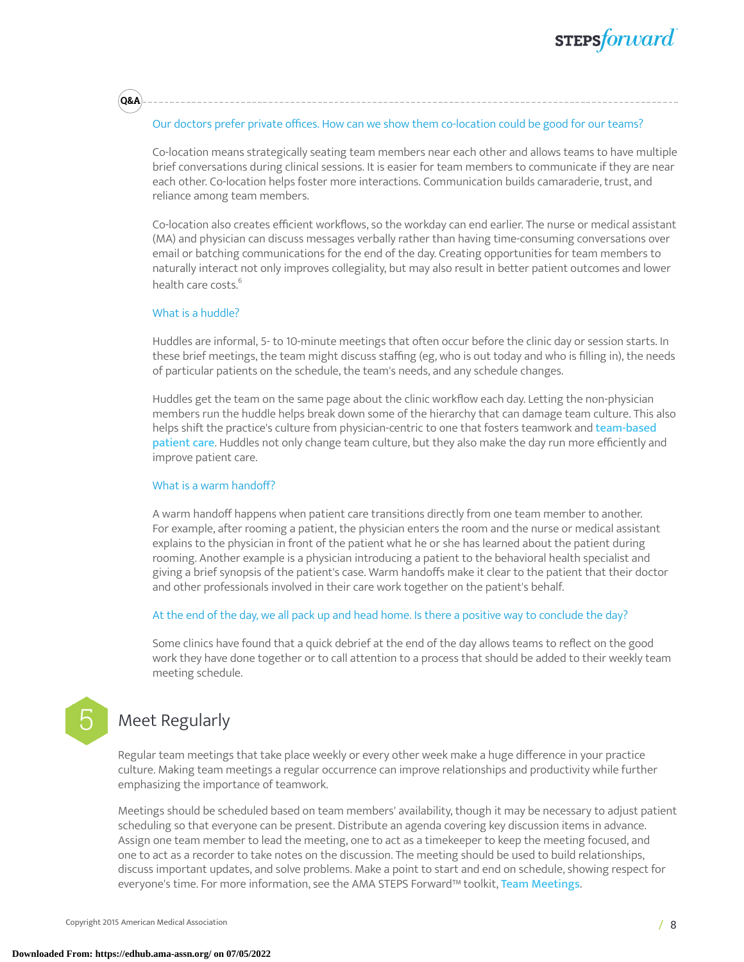### **STEPSforward**

#### Our doctors prefer private offices. How can we show them co-location could be good for our teams?

Co-location means strategically seating team members near each other and allows teams to have multiple brief conversations during clinical sessions. It is easier for team members to communicate if they are near each other. Co-location helps foster more interactions. Communication builds camaraderie, trust, and reliance among team members.

Co-location also creates efficient workflows, so the workday can end earlier. The nurse or medical assistant (MA) and physician can discuss messages verbally rather than having time-consuming conversations over email or batching communications for the end of the day. Creating opportunities for team members to naturally interact not only improves collegiality, but may also result in better patient outcomes and lower health care costs. [6](#page-13-5)

#### What is a huddle?

**Q&A**

Huddles are informal, 5- to 10-minute meetings that often occur before the clinic day or session starts. In these brief meetings, the team might discuss staffing (eg, who is out today and who is filling in), the needs of particular patients on the schedule, the team's needs, and any schedule changes.

Huddles get the team on the same page about the clinic workflow each day. Letting the non-physician members run the huddle helps break down some of the hierarchy that can damage team culture. This also helps shift the practice's culture from physician-centric to one that fosters teamwork and [team-based](https://edhub.ama-assn.org/steps-forward/module/2702513) [patient](https://edhub.ama-assn.org/steps-forward/module/2702513) care. Huddles not only change team culture, but they also make the day run more efficiently and improve patient care.

#### What is a warm handoff?

A warm handoff happens when patient care transitions directly from one team member to another. For example, after rooming a patient, the physician enters the room and the nurse or medical assistant explains to the physician in front of the patient what he or she has learned about the patient during rooming. Another example is a physician introducing a patient to the behavioral health specialist and giving a brief synopsis of the patient's case. Warm handoffs make it clear to the patient that their doctor and other professionals involved in their care work together on the patient's behalf.

#### At the end of the day, we all pack up and head home. Is there a positive way to conclude the day?

Some clinics have found that a quick debrief at the end of the day allows teams to reflect on the good work they have done together or to call attention to a process that should be added to their weekly team meeting schedule.

### Meet Regularly

Regular team meetings that take place weekly or every other week make a huge difference in your practice culture. Making team meetings a regular occurrence can improve relationships and productivity while further emphasizing the importance of teamwork.

Meetings should be scheduled based on team members' availability, though it may be necessary to adjust patient scheduling so that everyone can be present. Distribute an agenda covering key discussion items in advance. Assign one team member to lead the meeting, one to act as a timekeeper to keep the meeting focused, and one to act as a recorder to take notes on the discussion. The meeting should be used to build relationships, discuss important updates, and solve problems. Make a point to start and end on schedule, showing respect for everyone's time. For more information, see the AMA STEPS Forward™ toolkit, Team [Meetings](https://edhub.ama-assn.org/steps-forward/module/2702508).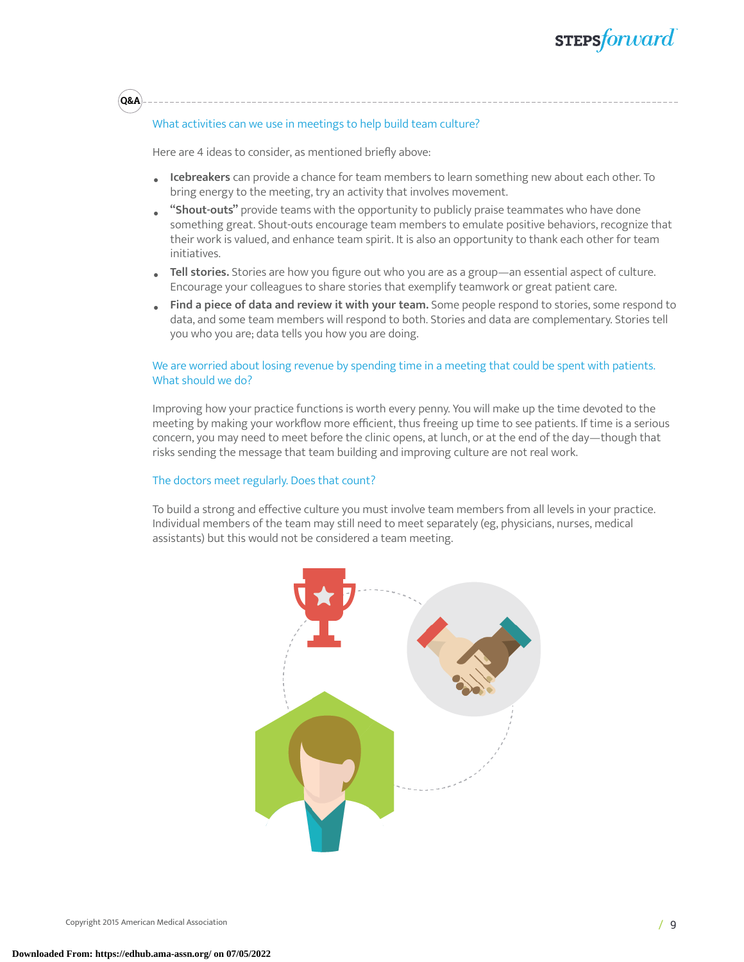#### What activities can we use in meetings to help build team culture?

Here are 4 ideas to consider, as mentioned briefly above:

**Q&A**

- **Icebreakers** can provide a chance for team members to learn something new about each other. To bring energy to the meeting, try an activity that involves movement.
- **"Shout-outs"** provide teams with the opportunity to publicly praise teammates who have done something great. Shout-outs encourage team members to emulate positive behaviors, recognize that their work is valued, and enhance team spirit. It is also an opportunity to thank each other for team initiatives.
- **Tell stories.** Stories are how you figure out who you are as a group—an essential aspect of culture. Encourage your colleagues to share stories that exemplify teamwork or great patient care.
- **Find a piece of data and review it with your team.** Some people respond to stories, some respond to data, and some team members will respond to both. Stories and data are complementary. Stories tell you who you are; data tells you how you are doing.

#### We are worried about losing revenue by spending time in a meeting that could be spent with patients. What should we do?

Improving how your practice functions is worth every penny. You will make up the time devoted to the meeting by making your workflow more efficient, thus freeing up time to see patients. If time is a serious concern, you may need to meet before the clinic opens, at lunch, or at the end of the day—though that risks sending the message that team building and improving culture are not real work.

#### The doctors meet regularly. Does that count?

To build a strong and effective culture you must involve team members from all levels in your practice. Individual members of the team may still need to meet separately (eg, physicians, nurses, medical assistants) but this would not be considered a team meeting.

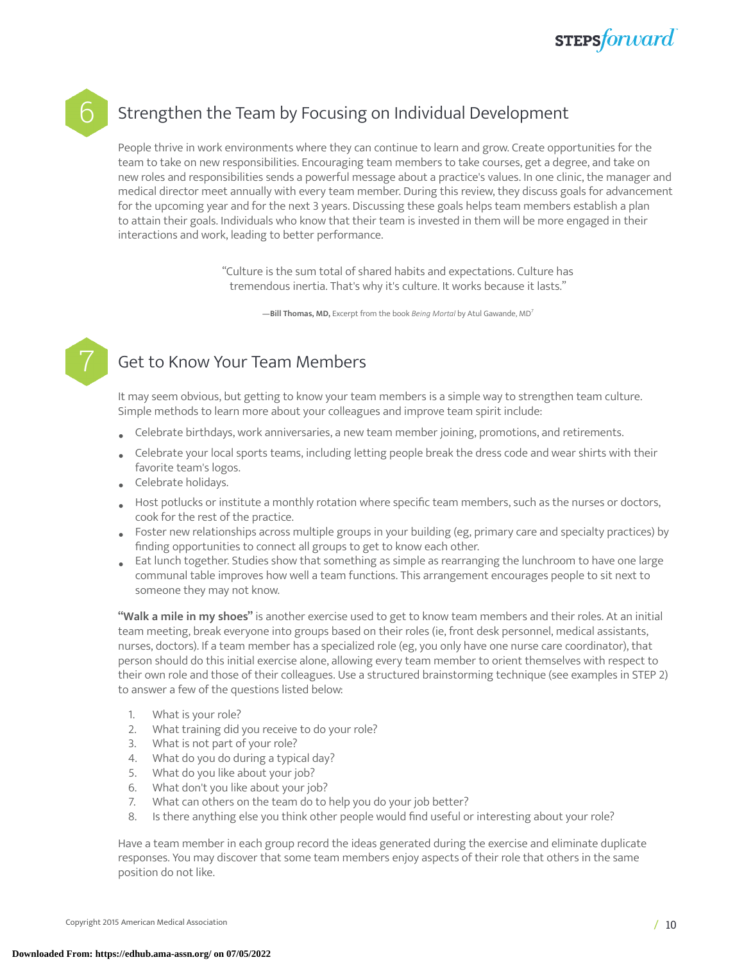

### Strengthen the Team by Focusing on Individual Development

People thrive in work environments where they can continue to learn and grow. Create opportunities for the team to take on new responsibilities. Encouraging team members to take courses, get a degree, and take on new roles and responsibilities sends a powerful message about a practice's values. In one clinic, the manager and medical director meet annually with every team member. During this review, they discuss goals for advancement for the upcoming year and for the next 3 years. Discussing these goals helps team members establish a plan to attain their goals. Individuals who know that their team is invested in them will be more engaged in their interactions and work, leading to better performance.

> "Culture is the sum total of shared habits and expectations. Culture has tremendous inertia. That's why it's culture. It works because it lasts."

> > **—Bill Thomas, MD,** Excerpt from the book *Being Mortal* by Atul Gawande, MD [7](#page-13-6)



### Get to Know Your Team Members

It may seem obvious, but getting to know your team members is a simple way to strengthen team culture. Simple methods to learn more about your colleagues and improve team spirit include:

- Celebrate birthdays, work anniversaries, a new team member joining, promotions, and retirements.
- Celebrate your local sports teams, including letting people break the dress code and wear shirts with their favorite team's logos.
- Celebrate holidays.
- Host potlucks or institute a monthly rotation where specific team members, such as the nurses or doctors, cook for the rest of the practice.
- Foster new relationships across multiple groups in your building (eg, primary care and specialty practices) by finding opportunities to connect all groups to get to know each other.
- Eat lunch together. Studies show that something as simple as rearranging the lunchroom to have one large communal table improves how well a team functions. This arrangement encourages people to sit next to someone they may not know.

**"Walk a mile in my shoes"** is another exercise used to get to know team members and their roles. At an initial team meeting, break everyone into groups based on their roles (ie, front desk personnel, medical assistants, nurses, doctors). If a team member has a specialized role (eg, you only have one nurse care coordinator), that person should do this initial exercise alone, allowing every team member to orient themselves with respect to their own role and those of their colleagues. Use a structured brainstorming technique (see examples in STEP 2) to answer a few of the questions listed below:

- 1. What is your role?
- 2. What training did you receive to do your role?
- 3. What is not part of your role?
- 4. What do you do during a typical day?
- 5. What do you like about your job?
- 6. What don't you like about your job?
- 7. What can others on the team do to help you do your job better?
- 8. Is there anything else you think other people would find useful or interesting about your role?

Have a team member in each group record the ideas generated during the exercise and eliminate duplicate responses. You may discover that some team members enjoy aspects of their role that others in the same position do not like.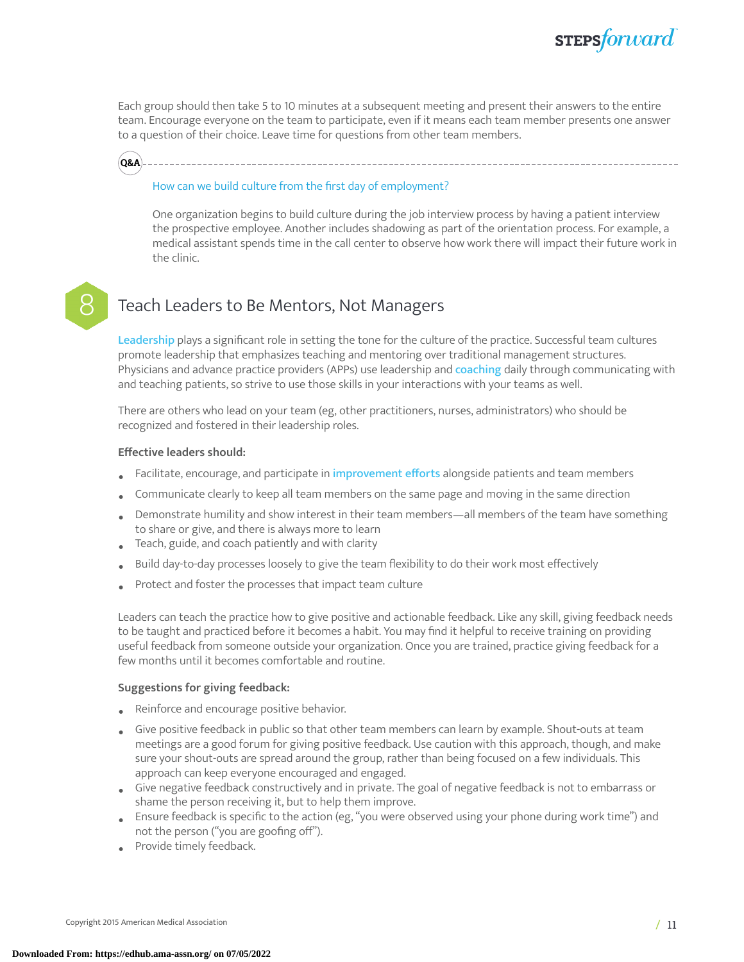

Each group should then take 5 to 10 minutes at a subsequent meeting and present their answers to the entire team. Encourage everyone on the team to participate, even if it means each team member presents one answer to a question of their choice. Leave time for questions from other team members.



#### How can we build culture from the first day of employment?

One organization begins to build culture during the job interview process by having a patient interview the prospective employee. Another includes shadowing as part of the orientation process. For example, a medical assistant spends time in the call center to observe how work there will impact their future work in the clinic.

### Teach Leaders to Be Mentors, Not Managers

[Leadership](https://edhub.ama-assn.org/steps-forward/interactive/18566659) plays a significant role in setting the tone for the culture of the practice. Successful team cultures promote leadership that emphasizes teaching and mentoring over traditional management structures. Physicians and advance practice providers (APPs) use leadership and [coaching](https://edhub.ama-assn.org/steps-forward/module/2702562) daily through communicating with and teaching patients, so strive to use those skills in your interactions with your teams as well.

There are others who lead on your team (eg, other practitioners, nurses, administrators) who should be recognized and fostered in their leadership roles.

#### **Effective leaders should:**

- Facilitate, encourage, and participate in [improvement](https://edhub.ama-assn.org/steps-forward/module/2702744) efforts alongside patients and team members
- Communicate clearly to keep all team members on the same page and moving in the same direction
- Demonstrate humility and show interest in their team members—all members of the team have something to share or give, and there is always more to learn
- Teach, guide, and coach patiently and with clarity
- Build day-to-day processes loosely to give the team flexibility to do their work most effectively
- Protect and foster the processes that impact team culture

Leaders can teach the practice how to give positive and actionable feedback. Like any skill, giving feedback needs to be taught and practiced before it becomes a habit. You may find it helpful to receive training on providing useful feedback from someone outside your organization. Once you are trained, practice giving feedback for a few months until it becomes comfortable and routine.

#### **Suggestions for giving feedback:**

- Reinforce and encourage positive behavior.
- Give positive feedback in public so that other team members can learn by example. Shout-outs at team meetings are a good forum for giving positive feedback. Use caution with this approach, though, and make sure your shout-outs are spread around the group, rather than being focused on a few individuals. This approach can keep everyone encouraged and engaged.
- Give negative feedback constructively and in private. The goal of negative feedback is not to embarrass or shame the person receiving it, but to help them improve.
- Ensure feedback is specific to the action (eg, "you were observed using your phone during work time") and not the person ("you are goofing off").
- Provide timely feedback.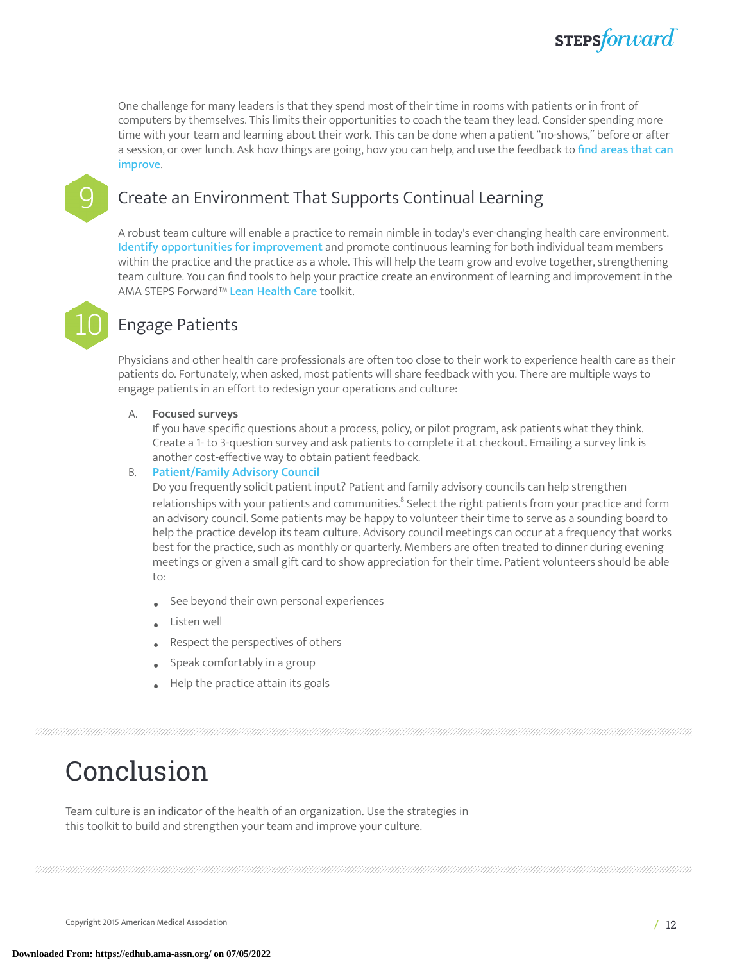

One challenge for many leaders is that they spend most of their time in rooms with patients or in front of computers by themselves. This limits their opportunities to coach the team they lead. Consider spending more time with your team and learning about their work. This can be done when a patient "no-shows," before or after a session, or over lunch. Ask how things are going, how you can help, and use the feedback to find [areas](https://edhub.ama-assn.org/steps-forward/module/2767765) that can [improve](https://edhub.ama-assn.org/steps-forward/module/2767765).

### 9 Create an Environment That Supports Continual Learning

A robust team culture will enable a practice to remain nimble in today's ever-changing health care environment. Identify [opportunities](https://edhub.ama-assn.org/steps-forward/module/2702749) for improvement and promote continuous learning for both individual team members within the practice and the practice as a whole. This will help the team grow and evolve together, strengthening team culture. You can find tools to help your practice create an environment of learning and improvement in the AMA STEPS Forward™ Lean [Health](https://edhub.ama-assn.org/steps-forward/module/2702597) Care toolkit.



### **Engage Patients**

Physicians and other health care professionals are often too close to their work to experience health care as their patients do. Fortunately, when asked, most patients will share feedback with you. There are multiple ways to engage patients in an effort to redesign your operations and culture:

### A. **Focused surveys**

If you have specific questions about a process, policy, or pilot program, ask patients what they think. Create a 1- to 3-question survey and ask patients to complete it at checkout. Emailing a survey link is another cost-effective way to obtain patient feedback.

#### B. **[Patient/Family](https://edhub.ama-assn.org/steps-forward/module/2702594) Advisory Council**

Do you frequently solicit patient input? Patient and family advisory councils can help strengthen relationships with your patients and communities.<sup>[8](#page-13-7)</sup> Select the right patients from your practice and form an advisory council. Some patients may be happy to volunteer their time to serve as a sounding board to help the practice develop its team culture. Advisory council meetings can occur at a frequency that works best for the practice, such as monthly or quarterly. Members are often treated to dinner during evening meetings or given a small gift card to show appreciation for their time. Patient volunteers should be able to:

- See beyond their own personal experiences
- Listen well
- Respect the perspectives of others
- Speak comfortably in a group
- Help the practice attain its goals

# Conclusion

Team culture is an indicator of the health of an organization. Use the strategies in this toolkit to build and strengthen your team and improve your culture.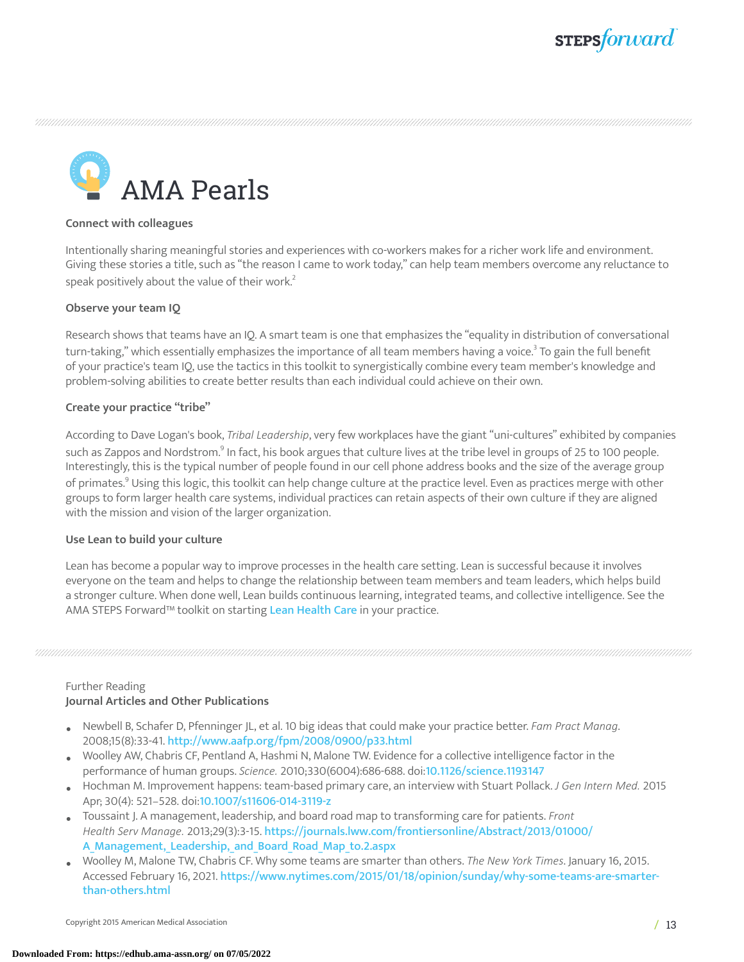

AMA Pearls

#### **Connect with colleagues**

Intentionally sharing meaningful stories and experiences with co-workers makes for a richer work life and environment. Giving these stories a title, such as "the reason I came to work today," can help team members overcome any reluctance to speak positively about the value of their work. $^2$  $^2$ 

#### **Observe your team IQ**

Research shows that teams have an IQ. A smart team is one that emphasizes the "equality in distribution of conversational turn-taking," which essentially emphasizes the importance of all team members having a voice.<sup>[3](#page-13-2)</sup> To gain the full benefit of your practice's team IQ, use the tactics in this toolkit to synergistically combine every team member's knowledge and problem-solving abilities to create better results than each individual could achieve on their own.

#### **Create your practice "tribe"**

According to Dave Logan's book, *Tribal Leadership*, very few workplaces have the giant "uni-cultures" exhibited by companies such as Zappos and Nordstrom. $^{\circ}$  In fact, his book argues that culture lives at the tribe level in groups of 25 to 100 people. Interestingly, this is the typical number of people found in our cell phone address books and the size of the average group of primates. $^{\circ}$  Using this logic, this toolkit can help change culture at the practice level. Even as practices merge with other groups to form larger health care systems, individual practices can retain aspects of their own culture if they are aligned with the mission and vision of the larger organization.

#### **Use Lean to build your culture**

Lean has become a popular way to improve processes in the health care setting. Lean is successful because it involves everyone on the team and helps to change the relationship between team members and team leaders, which helps build a stronger culture. When done well, Lean builds continuous learning, integrated teams, and collective intelligence. See the AMA STEPS Forward™ toolkit on starting Lean [Health](http://stepsforward.org/modules/lean-health-care) Care in your practice.

#### Further Reading **Journal Articles and Other Publications**

- Newbell B, Schafer D, Pfenninger JL, et al. <sup>10</sup> big ideas that could make your practice better. *Fam Pract Manag*. 2008;15(8):33-41. <http://www.aafp.org/fpm/2008/0900/p33.html>
- Woolley AW, Chabris CF, Pentland A, Hashmi N, Malone TW. Evidence for <sup>a</sup> collective intelligence factor in the performance of human groups. *Science.* 2010;330(6004):686-688. doi:<10.1126/science.1193147>
- Hochman M. Improvement happens: team-based primary care, an interview with Stuart Pollack. *<sup>J</sup> Gen Intern Med.*<sup>2015</sup> Apr; 30(4): 521–528. doi:<10.1007/s11606-014-3119-z>
- Toussaint J. A management, leadership, and board road map to transforming care for patients. *Front Health Serv Manage.* 2013;29(3):3-15. [https://journals.lww.com/frontiersonline/Abstract/2013/01000/](https://journals.lww.com/frontiersonline/Abstract/2013/01000/A_Management,_Leadership,_and_Board_Road_Map_to.2.aspx) A Management, Leadership, and Board Road Map to.2.aspx
- Woolley M, Malone TW, Chabris CF. Why some teams are smarter than others. *The New York Times*. January 16, 2015. Accessed February 16, 2021. [https://www.nytimes.com/2015/01/18/opinion/sunday/why-some-teams-are-smarter](https://www.nytimes.com/2015/01/18/opinion/sunday/why-some-teams-are-smarter-than-others.html)[than-others.html](https://www.nytimes.com/2015/01/18/opinion/sunday/why-some-teams-are-smarter-than-others.html)